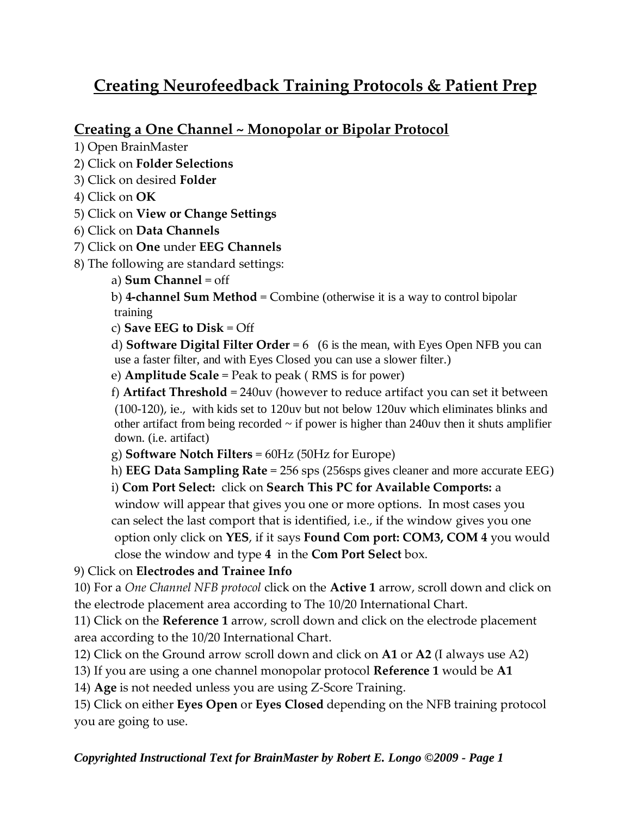# **Creating Neurofeedback Training Protocols & Patient Prep**

## **Creating a One Channel ~ Monopolar or Bipolar Protocol**

- 1) Open BrainMaster
- 2) Click on **Folder Selections**
- 3) Click on desired **Folder**
- 4) Click on **OK**
- 5) Click on **View or Change Settings**
- 6) Click on **Data Channels**
- 7) Click on **One** under **EEG Channels**
- 8) The following are standard settings:
	- a) **Sum Channel** = off

b) **4-channel Sum Method** = Combine (otherwise it is a way to control bipolar training

c) **Save EEG to Disk** = Off

d) **Software Digital Filter Order** = 6 (6 is the mean, with Eyes Open NFB you can use a faster filter, and with Eyes Closed you can use a slower filter.)

e) **Amplitude Scale** = Peak to peak ( RMS is for power)

f) **Artifact Threshold** = 240uv (however to reduce artifact you can set it between (100-120), ie., with kids set to 120uv but not below 120uv which eliminates blinks and other artifact from being recorded  $\sim$  if power is higher than 240uv then it shuts amplifier down. (i.e. artifact)

g) **Software Notch Filters** = 60Hz (50Hz for Europe)

h) **EEG Data Sampling Rate** = 256 sps (256sps gives cleaner and more accurate EEG)

i) **Com Port Select:** click on **Search This PC for Available Comports:** a window will appear that gives you one or more options. In most cases you can select the last comport that is identified, i.e., if the window gives you one option only click on **YES**, if it says **Found Com port: COM3, COM 4** you would close the window and type **4** in the **Com Port Select** box.

9) Click on **Electrodes and Trainee Info**

10) For a *One Channel NFB protocol* click on the **Active 1** arrow, scroll down and click on the electrode placement area according to The 10/20 International Chart.

11) Click on the **Reference 1** arrow, scroll down and click on the electrode placement area according to the 10/20 International Chart.

12) Click on the Ground arrow scroll down and click on **A1** or **A2** (I always use A2)

13) If you are using a one channel monopolar protocol **Reference 1** would be **A1**

14) **Age** is not needed unless you are using Z-Score Training.

15) Click on either **Eyes Open** or **Eyes Closed** depending on the NFB training protocol you are going to use.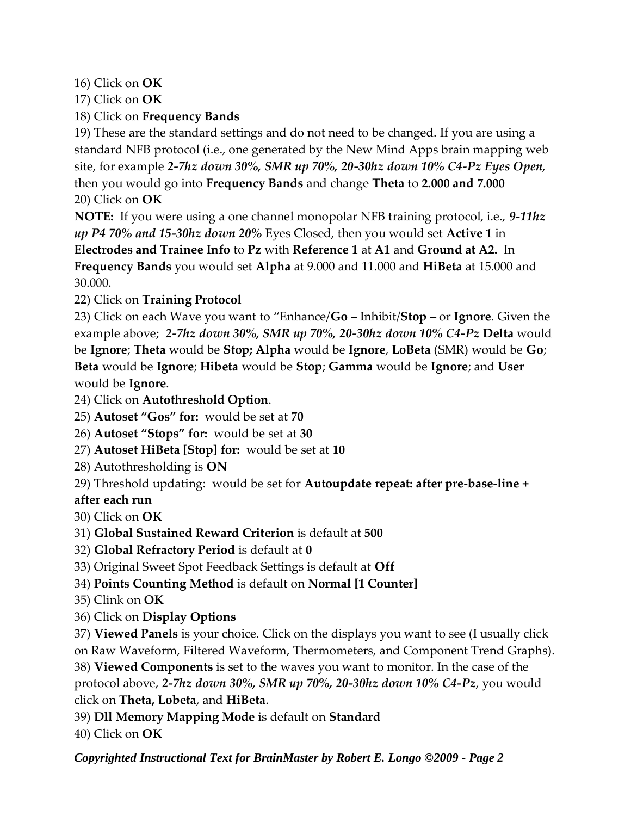16) Click on **OK**

17) Click on **OK**

18) Click on **Frequency Bands**

19) These are the standard settings and do not need to be changed. If you are using a standard NFB protocol (i.e., one generated by the New Mind Apps brain mapping web site, for example *2-7hz down 30%, SMR up 70%, 20-30hz down 10% C4-Pz Eyes Open*, then you would go into **Frequency Bands** and change **Theta** to **2.000 and 7.000** 20) Click on **OK**

**NOTE:** If you were using a one channel monopolar NFB training protocol, i.e., *9-11hz up P4 70% and 15-30hz down 20%* Eyes Closed, then you would set **Active 1** in

**Electrodes and Trainee Info** to **Pz** with **Reference 1** at **A1** and **Ground at A2.** In **Frequency Bands** you would set **Alpha** at 9.000 and 11.000 and **HiBeta** at 15.000 and 30.000.

22) Click on **Training Protocol**

23) Click on each Wave you want to "Enhance/**Go** – Inhibit/**Stop** – or **Ignore**. Given the example above; *2-7hz down 30%, SMR up 70%, 20-30hz down 10% C4-Pz* **Delta** would be **Ignore**; **Theta** would be **Stop; Alpha** would be **Ignore**, **LoBeta** (SMR) would be **Go**; **Beta** would be **Ignore**; **Hibeta** would be **Stop**; **Gamma** would be **Ignore**; and **User** would be **Ignore**.

24) Click on **Autothreshold Option**.

25) **Autoset "Gos" for:** would be set at **70**

26) **Autoset "Stops" for:** would be set at **30**

27) **Autoset HiBeta [Stop] for:** would be set at **10**

28) Autothresholding is **ON**

29) Threshold updating: would be set for **Autoupdate repeat: after pre-base-line +** 

**after each run**

30) Click on **OK**

- 31) **Global Sustained Reward Criterion** is default at **500**
- 32) **Global Refractory Period** is default at **0**

33) Original Sweet Spot Feedback Settings is default at **Off**

- 34) **Points Counting Method** is default on **Normal [1 Counter]**
- 35) Clink on **OK**
- 36) Click on **Display Options**

37) **Viewed Panels** is your choice. Click on the displays you want to see (I usually click on Raw Waveform, Filtered Waveform, Thermometers, and Component Trend Graphs).

38) **Viewed Components** is set to the waves you want to monitor. In the case of the protocol above, *2-7hz down 30%, SMR up 70%, 20-30hz down 10% C4-Pz*, you would click on **Theta, Lobeta**, and **HiBeta**.

39) **Dll Memory Mapping Mode** is default on **Standard**

40) Click on **OK**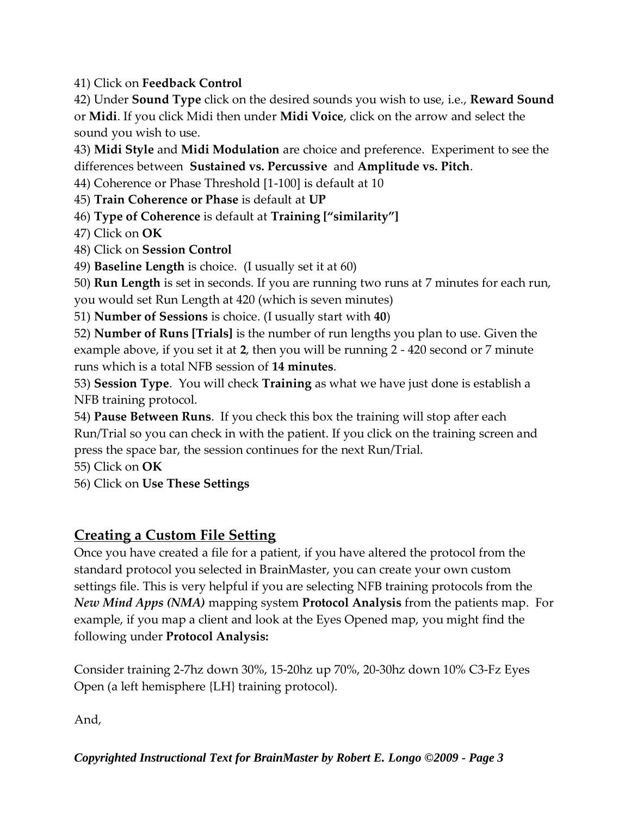41) Click on **Feedback Control**

42) Under **Sound Type** click on the desired sounds you wish to use, i.e., **Reward Sound** or **Midi**. If you click Midi then under **Midi Voice**, click on the arrow and select the sound you wish to use.

43) **Midi Style** and **Midi Modulation** are choice and preference. Experiment to see the differences between **Sustained vs. Percussive** and **Amplitude vs. Pitch**.

44) Coherence or Phase Threshold [1-100] is default at 10

45) **Train Coherence or Phase** is default at **UP**

46) **Type of Coherence** is default at **Training ["similarity"]**

47) Click on **OK**

48) Click on **Session Control**

49) **Baseline Length** is choice. (I usually set it at 60)

50) **Run Length** is set in seconds. If you are running two runs at 7 minutes for each run, you would set Run Length at 420 (which is seven minutes)

51) **Number of Sessions** is choice. (I usually start with **40**)

52) **Number of Runs [Trials]** is the number of run lengths you plan to use. Given the example above, if you set it at **2**, then you will be running 2 - 420 second or 7 minute runs which is a total NFB session of **14 minutes**.

53) **Session Type**. You will check **Training** as what we have just done is establish a NFB training protocol.

54) **Pause Between Runs**. If you check this box the training will stop after each Run/Trial so you can check in with the patient. If you click on the training screen and press the space bar, the session continues for the next Run/Trial.

55) Click on **OK**

56) Click on **Use These Settings**

## **Creating a Custom File Setting**

Once you have created a file for a patient, if you have altered the protocol from the standard protocol you selected in BrainMaster, you can create your own custom settings file. This is very helpful if you are selecting NFB training protocols from the *New Mind Apps (NMA)* mapping system **Protocol Analysis** from the patients map. For example, if you map a client and look at the Eyes Opened map, you might find the following under **Protocol Analysis:**

Consider training 2-7hz down 30%, 15-20hz up 70%, 20-30hz down 10% C3-Fz Eyes Open (a left hemisphere {LH} training protocol).

And,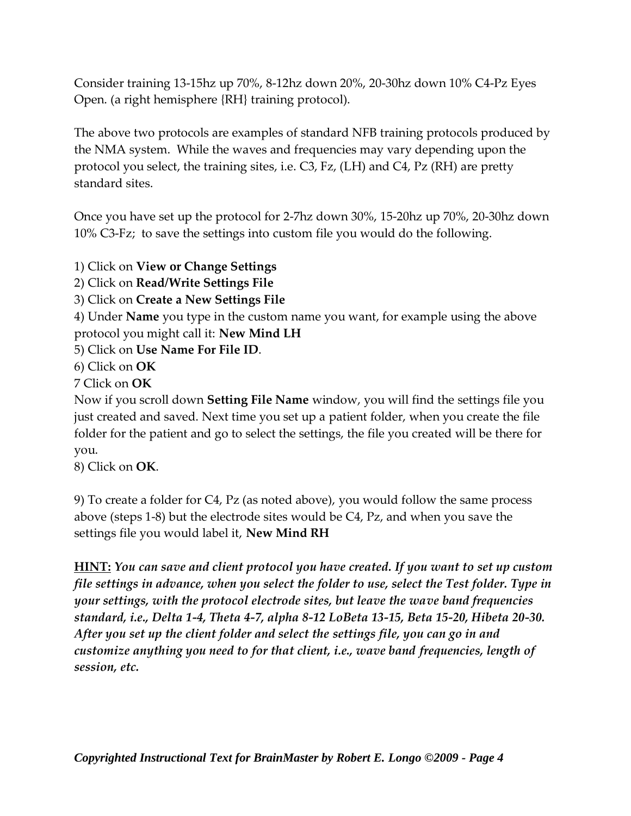Consider training 13-15hz up 70%, 8-12hz down 20%, 20-30hz down 10% C4-Pz Eyes Open. (a right hemisphere {RH} training protocol).

The above two protocols are examples of standard NFB training protocols produced by the NMA system. While the waves and frequencies may vary depending upon the protocol you select, the training sites, i.e. C3, Fz, (LH) and C4, Pz (RH) are pretty standard sites.

Once you have set up the protocol for 2-7hz down 30%, 15-20hz up 70%, 20-30hz down 10% C3-Fz; to save the settings into custom file you would do the following.

1) Click on **View or Change Settings**

2) Click on **Read/Write Settings File**

3) Click on **Create a New Settings File**

4) Under **Name** you type in the custom name you want, for example using the above protocol you might call it: **New Mind LH**

5) Click on **Use Name For File ID**.

6) Click on **OK**

7 Click on **OK**

Now if you scroll down **Setting File Name** window, you will find the settings file you just created and saved. Next time you set up a patient folder, when you create the file folder for the patient and go to select the settings, the file you created will be there for you.

8) Click on **OK**.

9) To create a folder for C4, Pz (as noted above), you would follow the same process above (steps 1-8) but the electrode sites would be C4, Pz, and when you save the settings file you would label it, **New Mind RH**

**HINT:** *You can save and client protocol you have created. If you want to set up custom file settings in advance, when you select the folder to use, select the Test folder. Type in your settings, with the protocol electrode sites, but leave the wave band frequencies standard, i.e., Delta 1-4, Theta 4-7, alpha 8-12 LoBeta 13-15, Beta 15-20, Hibeta 20-30. After you set up the client folder and select the settings file, you can go in and customize anything you need to for that client, i.e., wave band frequencies, length of session, etc.*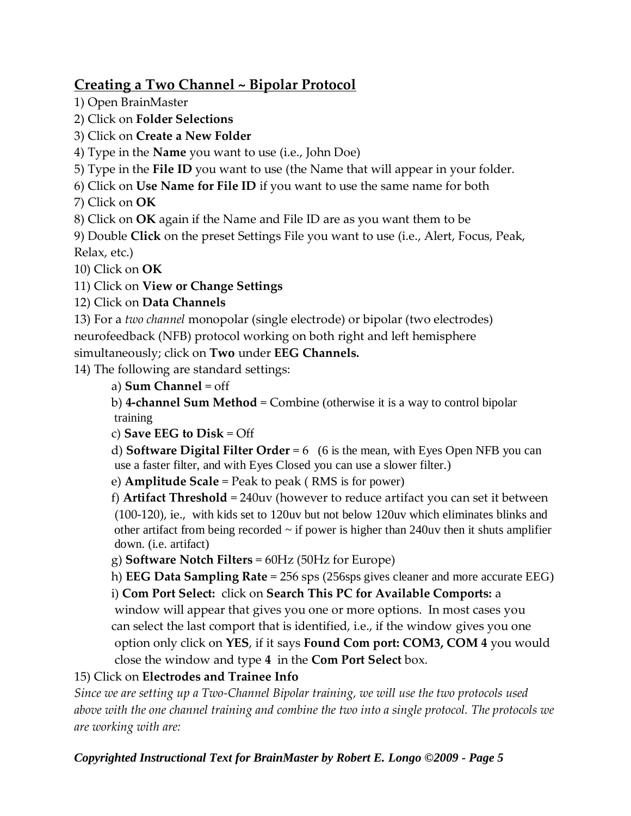## **Creating a Two Channel ~ Bipolar Protocol**

1) Open BrainMaster

2) Click on **Folder Selections**

3) Click on **Create a New Folder**

4) Type in the **Name** you want to use (i.e., John Doe)

5) Type in the **File ID** you want to use (the Name that will appear in your folder.

6) Click on **Use Name for File ID** if you want to use the same name for both 7) Click on **OK**

8) Click on **OK** again if the Name and File ID are as you want them to be

9) Double **Click** on the preset Settings File you want to use (i.e., Alert, Focus, Peak, Relax, etc.)

10) Click on **OK**

11) Click on **View or Change Settings** 

#### 12) Click on **Data Channels**

13) For a *two channel* monopolar (single electrode) or bipolar (two electrodes) neurofeedback (NFB) protocol working on both right and left hemisphere

simultaneously; click on **Two** under **EEG Channels.**

14) The following are standard settings:

a) **Sum Channel** = off

b) **4-channel Sum Method** = Combine (otherwise it is a way to control bipolar training

c) **Save EEG to Disk** = Off

d) **Software Digital Filter Order** = 6 (6 is the mean, with Eyes Open NFB you can use a faster filter, and with Eyes Closed you can use a slower filter.)

e) **Amplitude Scale** = Peak to peak ( RMS is for power)

f) **Artifact Threshold** = 240uv (however to reduce artifact you can set it between (100-120), ie., with kids set to 120uv but not below 120uv which eliminates blinks and other artifact from being recorded  $\sim$  if power is higher than 240uv then it shuts amplifier down. (i.e. artifact)

g) **Software Notch Filters** = 60Hz (50Hz for Europe)

h) **EEG Data Sampling Rate** = 256 sps (256sps gives cleaner and more accurate EEG)

i) **Com Port Select:** click on **Search This PC for Available Comports:** a window will appear that gives you one or more options. In most cases you can select the last comport that is identified, i.e., if the window gives you one option only click on **YES**, if it says **Found Com port: COM3, COM 4** you would close the window and type **4** in the **Com Port Select** box.

#### 15) Click on **Electrodes and Trainee Info**

*Since we are setting up a Two-Channel Bipolar training, we will use the two protocols used above with the one channel training and combine the two into a single protocol. The protocols we are working with are:*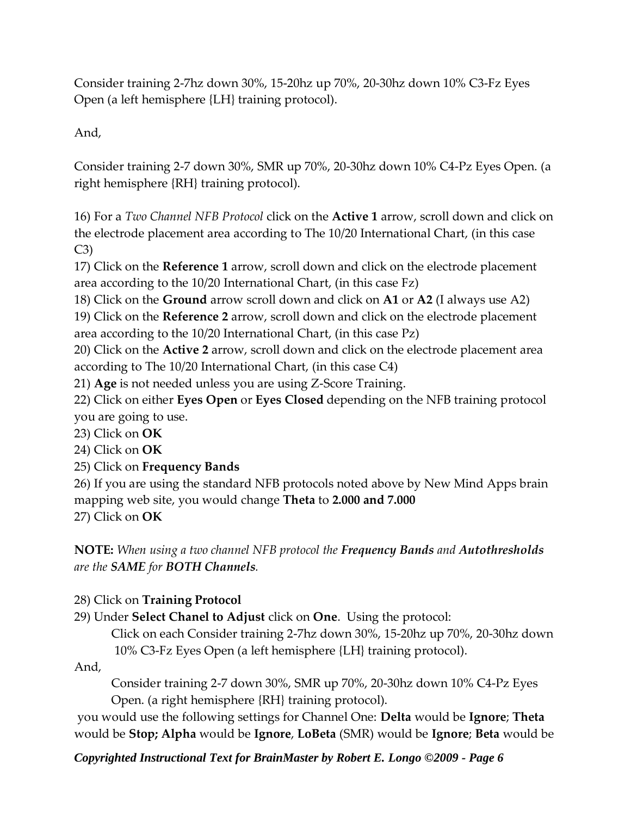Consider training 2-7hz down 30%, 15-20hz up 70%, 20-30hz down 10% C3-Fz Eyes Open (a left hemisphere {LH} training protocol).

And,

Consider training 2-7 down 30%, SMR up 70%, 20-30hz down 10% C4-Pz Eyes Open. (a right hemisphere {RH} training protocol).

16) For a *Two Channel NFB Protocol* click on the **Active 1** arrow, scroll down and click on the electrode placement area according to The 10/20 International Chart, (in this case C3)

17) Click on the **Reference 1** arrow, scroll down and click on the electrode placement area according to the 10/20 International Chart, (in this case Fz)

18) Click on the **Ground** arrow scroll down and click on **A1** or **A2** (I always use A2)

19) Click on the **Reference 2** arrow, scroll down and click on the electrode placement area according to the 10/20 International Chart, (in this case Pz)

20) Click on the **Active 2** arrow, scroll down and click on the electrode placement area according to The 10/20 International Chart, (in this case C4)

21) **Age** is not needed unless you are using Z-Score Training.

22) Click on either **Eyes Open** or **Eyes Closed** depending on the NFB training protocol you are going to use.

23) Click on **OK**

24) Click on **OK**

25) Click on **Frequency Bands**

26) If you are using the standard NFB protocols noted above by New Mind Apps brain mapping web site, you would change **Theta** to **2.000 and 7.000** 27) Click on **OK**

**NOTE:** *When using a two channel NFB protocol the Frequency Bands and Autothresholds are the SAME for BOTH Channels.* 

#### 28) Click on **Training Protocol**

29) Under **Select Chanel to Adjust** click on **One**. Using the protocol:

Click on each Consider training 2-7hz down 30%, 15-20hz up 70%, 20-30hz down 10% C3-Fz Eyes Open (a left hemisphere {LH} training protocol).

And,

Consider training 2-7 down 30%, SMR up 70%, 20-30hz down 10% C4-Pz Eyes Open. (a right hemisphere {RH} training protocol).

you would use the following settings for Channel One: **Delta** would be **Ignore**; **Theta** would be **Stop; Alpha** would be **Ignore**, **LoBeta** (SMR) would be **Ignore**; **Beta** would be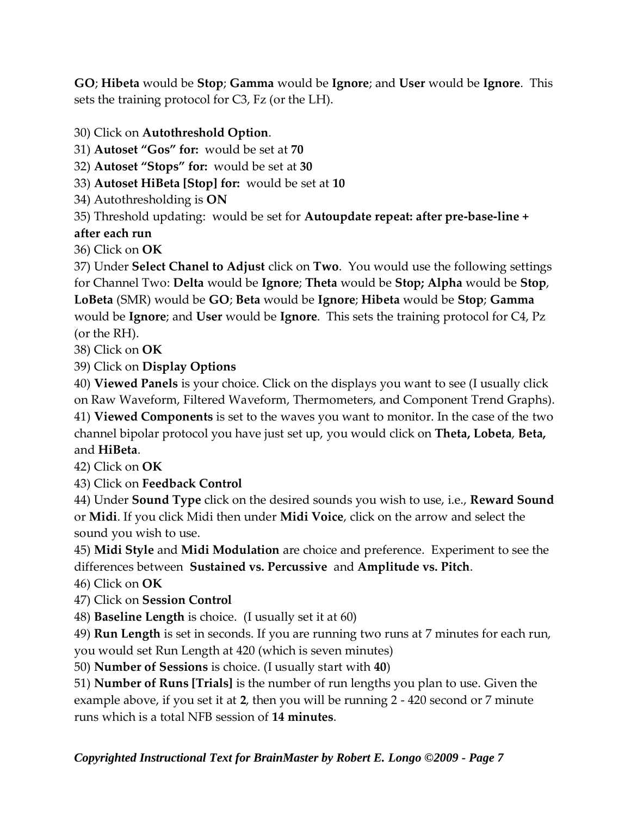**GO**; **Hibeta** would be **Stop**; **Gamma** would be **Ignore**; and **User** would be **Ignore**. This sets the training protocol for C3, Fz (or the LH).

30) Click on **Autothreshold Option**.

31) **Autoset "Gos" for:** would be set at **70**

32) **Autoset "Stops" for:** would be set at **30**

33) **Autoset HiBeta [Stop] for:** would be set at **10**

34) Autothresholding is **ON**

35) Threshold updating: would be set for **Autoupdate repeat: after pre-base-line +** 

**after each run**

36) Click on **OK**

37) Under **Select Chanel to Adjust** click on **Two**. You would use the following settings for Channel Two: **Delta** would be **Ignore**; **Theta** would be **Stop; Alpha** would be **Stop**, **LoBeta** (SMR) would be **GO**; **Beta** would be **Ignore**; **Hibeta** would be **Stop**; **Gamma** would be **Ignore**; and **User** would be **Ignore**. This sets the training protocol for C4, Pz (or the RH).

38) Click on **OK**

39) Click on **Display Options**

40) **Viewed Panels** is your choice. Click on the displays you want to see (I usually click on Raw Waveform, Filtered Waveform, Thermometers, and Component Trend Graphs).

41) **Viewed Components** is set to the waves you want to monitor. In the case of the two channel bipolar protocol you have just set up, you would click on **Theta, Lobeta**, **Beta,** and **HiBeta**.

42) Click on **OK**

43) Click on **Feedback Control**

44) Under **Sound Type** click on the desired sounds you wish to use, i.e., **Reward Sound** or **Midi**. If you click Midi then under **Midi Voice**, click on the arrow and select the sound you wish to use.

45) **Midi Style** and **Midi Modulation** are choice and preference. Experiment to see the differences between **Sustained vs. Percussive** and **Amplitude vs. Pitch**.

46) Click on **OK**

47) Click on **Session Control**

48) **Baseline Length** is choice. (I usually set it at 60)

49) **Run Length** is set in seconds. If you are running two runs at 7 minutes for each run, you would set Run Length at 420 (which is seven minutes)

50) **Number of Sessions** is choice. (I usually start with **40**)

51) **Number of Runs [Trials]** is the number of run lengths you plan to use. Given the example above, if you set it at **2**, then you will be running 2 - 420 second or 7 minute runs which is a total NFB session of **14 minutes**.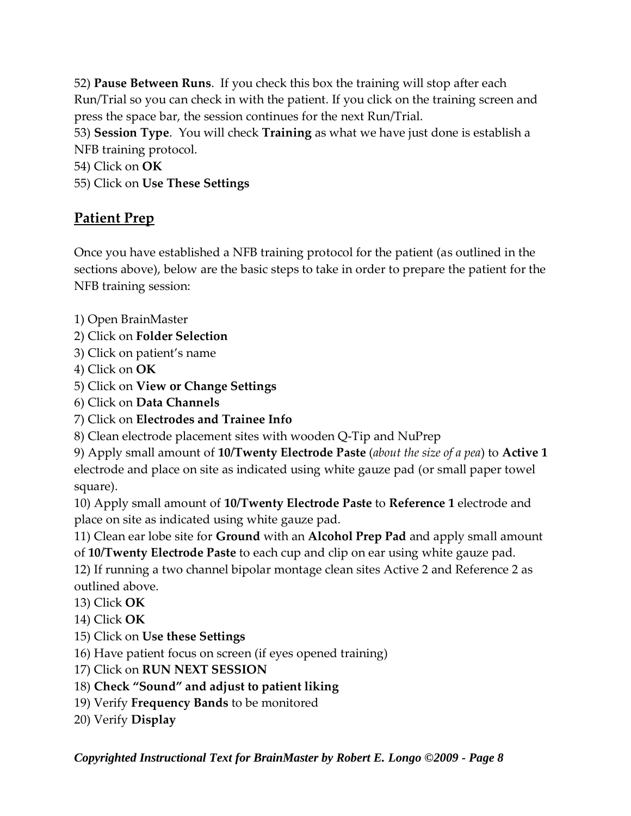52) **Pause Between Runs**. If you check this box the training will stop after each Run/Trial so you can check in with the patient. If you click on the training screen and press the space bar, the session continues for the next Run/Trial. 53) **Session Type**. You will check **Training** as what we have just done is establish a NFB training protocol. 54) Click on **OK**

55) Click on **Use These Settings**

## **Patient Prep**

Once you have established a NFB training protocol for the patient (as outlined in the sections above), below are the basic steps to take in order to prepare the patient for the NFB training session:

- 1) Open BrainMaster
- 2) Click on **Folder Selection**
- 3) Click on patient's name
- 4) Click on **OK**
- 5) Click on **View or Change Settings**
- 6) Click on **Data Channels**
- 7) Click on **Electrodes and Trainee Info**
- 8) Clean electrode placement sites with wooden Q-Tip and NuPrep

9) Apply small amount of **10/Twenty Electrode Paste** (*about the size of a pea*) to **Active 1** electrode and place on site as indicated using white gauze pad (or small paper towel square).

10) Apply small amount of **10/Twenty Electrode Paste** to **Reference 1** electrode and place on site as indicated using white gauze pad.

11) Clean ear lobe site for **Ground** with an **Alcohol Prep Pad** and apply small amount of **10/Twenty Electrode Paste** to each cup and clip on ear using white gauze pad.

12) If running a two channel bipolar montage clean sites Active 2 and Reference 2 as outlined above.

- 13) Click **OK**
- 14) Click **OK**
- 15) Click on **Use these Settings**
- 16) Have patient focus on screen (if eyes opened training)
- 17) Click on **RUN NEXT SESSION**
- 18) **Check "Sound" and adjust to patient liking**
- 19) Verify **Frequency Bands** to be monitored
- 20) Verify **Display**